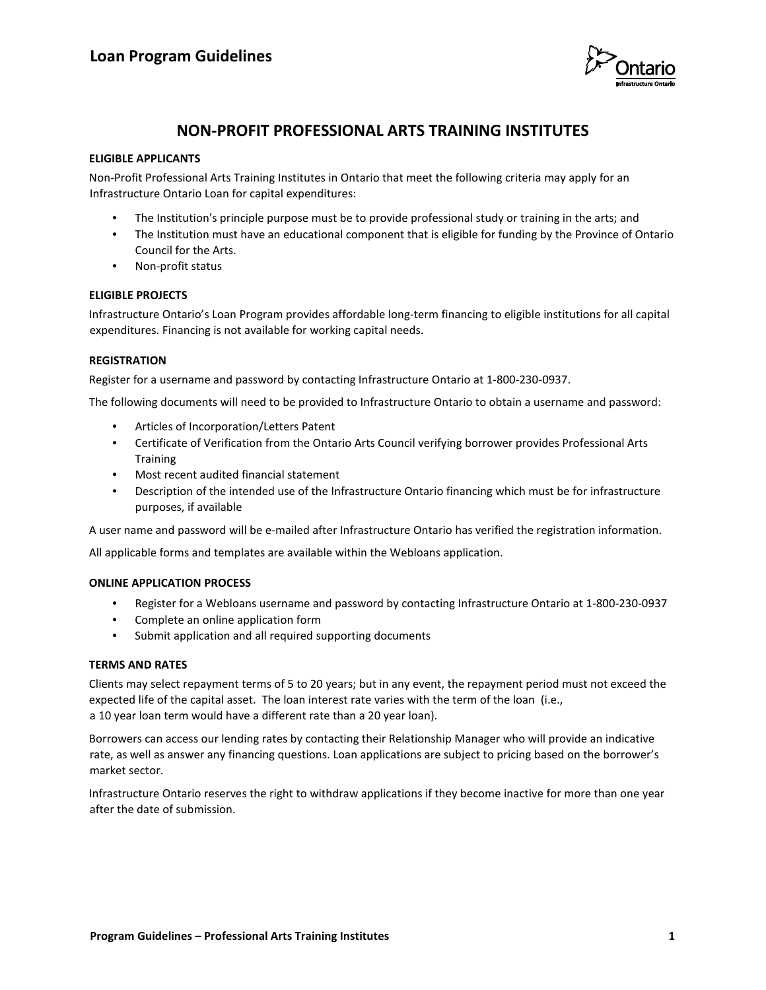

# **NON-PROFIT PROFESSIONAL ARTS TRAINING INSTITUTES**

## **ELIGIBLE APPLICANTS**

Non-Profit Professional Arts Training Institutes in Ontario that meet the following criteria may apply for an Infrastructure Ontario Loan for capital expenditures:

- The Institution's principle purpose must be to provide professional study or training in the arts; and
- The Institution must have an educational component that is eligible for funding by the Province of Ontario Council for the Arts.
- Non-profit status

# **ELIGIBLE PROJECTS**

Infrastructure Ontario's Loan Program provides affordable long-term financing to eligible institutions for all capital expenditures. Financing is not available for working capital needs.

## **REGISTRATION**

Register for a username and password by contacting Infrastructure Ontario at 1-800-230-0937.

The following documents will need to be provided to Infrastructure Ontario to obtain a username and password:

- Articles of Incorporation/Letters Patent
- Certificate of Verification from the Ontario Arts Council verifying borrower provides Professional Arts **Training**
- Most recent audited financial statement
- Description of the intended use of the Infrastructure Ontario financing which must be for infrastructure purposes, if available

A user name and password will be e-mailed after Infrastructure Ontario has verified the registration information.

All applicable forms and templates are available within the Webloans application.

#### **ONLINE APPLICATION PROCESS**

- Register for a Webloans username and password by contacting Infrastructure Ontario at 1-800-230-0937
- Complete an online application form
- Submit application and all required supporting documents

#### **TERMS AND RATES**

Clients may select repayment terms of 5 to 20 years; but in any event, the repayment period must not exceed the expected life of the capital asset. The loan interest rate varies with the term of the loan (i.e., a 10 year loan term would have a different rate than a 20 year loan).

Borrowers can access our lending rates by contacting their Relationship Manager who will provide an indicative rate, as well as answer any financing questions. Loan applications are subject to pricing based on the borrower's market sector.

Infrastructure Ontario reserves the right to withdraw applications if they become inactive for more than one year after the date of submission.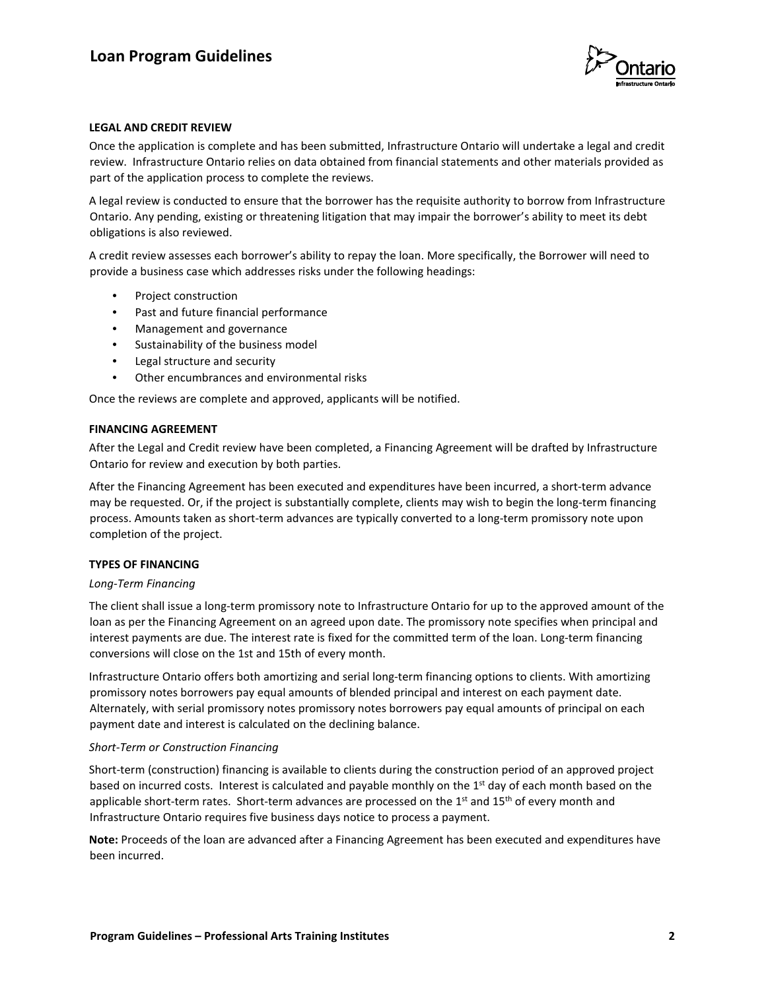

## **LEGAL AND CREDIT REVIEW**

Once the application is complete and has been submitted, Infrastructure Ontario will undertake a legal and credit review. Infrastructure Ontario relies on data obtained from financial statements and other materials provided as part of the application process to complete the reviews.

A legal review is conducted to ensure that the borrower has the requisite authority to borrow from Infrastructure Ontario. Any pending, existing or threatening litigation that may impair the borrower's ability to meet its debt obligations is also reviewed.

A credit review assesses each borrower's ability to repay the loan. More specifically, the Borrower will need to provide a business case which addresses risks under the following headings:

- Project construction
- Past and future financial performance
- Management and governance
- Sustainability of the business model
- Legal structure and security
- Other encumbrances and environmental risks

Once the reviews are complete and approved, applicants will be notified.

#### **FINANCING AGREEMENT**

After the Legal and Credit review have been completed, a Financing Agreement will be drafted by Infrastructure Ontario for review and execution by both parties.

After the Financing Agreement has been executed and expenditures have been incurred, a short-term advance may be requested. Or, if the project is substantially complete, clients may wish to begin the long-term financing process. Amounts taken as short-term advances are typically converted to a long-term promissory note upon completion of the project.

#### **TYPES OF FINANCING**

#### *Long-Term Financing*

The client shall issue a long-term promissory note to Infrastructure Ontario for up to the approved amount of the loan as per the Financing Agreement on an agreed upon date. The promissory note specifies when principal and interest payments are due. The interest rate is fixed for the committed term of the loan. Long-term financing conversions will close on the 1st and 15th of every month.

Infrastructure Ontario offers both amortizing and serial long-term financing options to clients. With amortizing promissory notes borrowers pay equal amounts of blended principal and interest on each payment date. Alternately, with serial promissory notes promissory notes borrowers pay equal amounts of principal on each payment date and interest is calculated on the declining balance.

#### *Short-Term or Construction Financing*

Short-term (construction) financing is available to clients during the construction period of an approved project based on incurred costs. Interest is calculated and payable monthly on the 1<sup>st</sup> day of each month based on the applicable short-term rates. Short-term advances are processed on the  $1<sup>st</sup>$  and  $15<sup>th</sup>$  of every month and Infrastructure Ontario requires five business days notice to process a payment.

**Note:** Proceeds of the loan are advanced after a Financing Agreement has been executed and expenditures have been incurred.